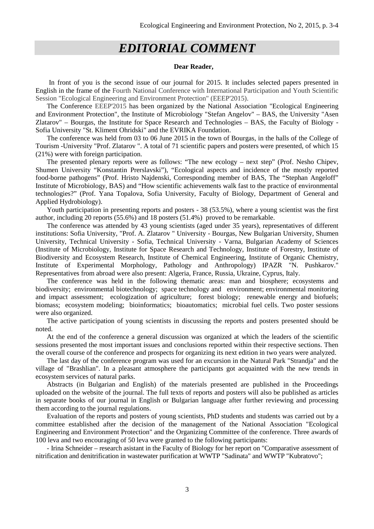## *EDITORIAL COMMENT*

## **Dear Reader,**

In front of you is the second issue of our journal for 2015. It includes selected papers presented in English in the frame of the Fourth National Conference with International Participation and Youth Scientific Session "Ecological Engineering and Environment Protection" (EEEP'2015).

The Conference EEEP'2015 has been organized by the National Association "Ecological Engineering and Environment Protection", the Institute of Microbiology "Stefan Angelov" – BAS, the University "Asen Zlatarov" – Bourgas, the Institute for Space Research and Technologies – BAS, the Faculty of Biology - Sofia University "St. Kliment Ohridski" and the EVRIKA Foundation.

The conference was held from 03 to 06 June 2015 in the town of Bourgas, in the halls of the College of Tourism -University "Prof. Zlatarov ". A total of 71 scientific papers and posters were presented, of which 15 (21%) were with foreign participation.

The presented plenary reports were as follows: "The new ecology – next step" (Prof. Nesho Chipev, Shumen University "Konstantin Prerslavski"), "Ecological aspects and incidence of the mostly reported food-borne pathogens" (Prof. Hristo Najdenski, Corresponding member of BAS, The "Stephan Angeloff" Institute of Microbiology, BAS) and "How scientific achievements walk fast to the practice of environmental technologies?" (Prof. Yana Topalova, Sofia University, Faculty of Biology, Department of General and Applied Hydrobiology).

Youth participation in presenting reports and posters - 38 (53.5%), where a young scientist was the first author, including 20 reports (55.6%) and 18 posters (51.4%) proved to be remarkable.

The conference was attended by 43 young scientists (aged under 35 years), representatives of different institutions: Sofia University, "Prof. A. Zlatarov " University - Bourgas, New Bulgarian University, Shumen University, Technical University - Sofia, Technical University - Varna, Bulgarian Academy of Sciences (Institute of Microbiology, Institute for Space Research and Technology, Institute of Forestry, Institute of Biodiversity and Ecosystem Research, Institute of Chemical Engineering, Institute of Organic Chemistry, Institute of Experimental Morphology, Pathology and Anthropology) IPAZR "N. Pushkarov." Representatives from abroad were also present: Algeria, France, Russia, Ukraine, Cyprus, Italy.

The conference was held in the following thematic areas: man and biosphere; ecosystems and biodiversity; environmental biotechnology; space technology and environment; environmental monitoring and impact assessment; ecologization of agriculture; forest biology; renewable energy and biofuels; biomass; ecosystem modeling; bioinformatics; bioautomatics; microbial fuel cells. Two poster sessions were also organized.

The active participation of young scientists in discussing the reports and posters presented should be noted.

At the end of the conference a general discussion was organized at which the leaders of the scientific sessions presented the most important issues and conclusions reported within their respective sections. Then the overall course of the conference and prospects for organizing its next edition in two years were analyzed.

The last day of the conference program was used for an excursion in the Natural Park "Strandja" and the village of "Brashlian". In a pleasant atmosphere the participants got acquainted with the new trends in ecosystem services of natural parks.

Abstracts (in Bulgarian and English) of the materials presented are published in the Proceedings uploaded on the website of the journal. The full texts of reports and posters will also be published as articles in separate books of our journal in English or Bulgarian language after further reviewing and processing them according to the journal regulations.

Evaluation of the reports and posters of young scientists, PhD students and students was carried out by a committee established after the decision of the management of the National Association "Ecological Engineering and Environment Protection" and the Organizing Committee of the conference. Three awards of 100 leva and two encouraging of 50 leva were granted to the following participants:

- Irina Schneider – research asistant in the Faculty of Biology for her report on "Comparative assessment of nitrification and denitrification in wastewater purification at WWTP "Sadinata" and WWTP "Kubratovo";